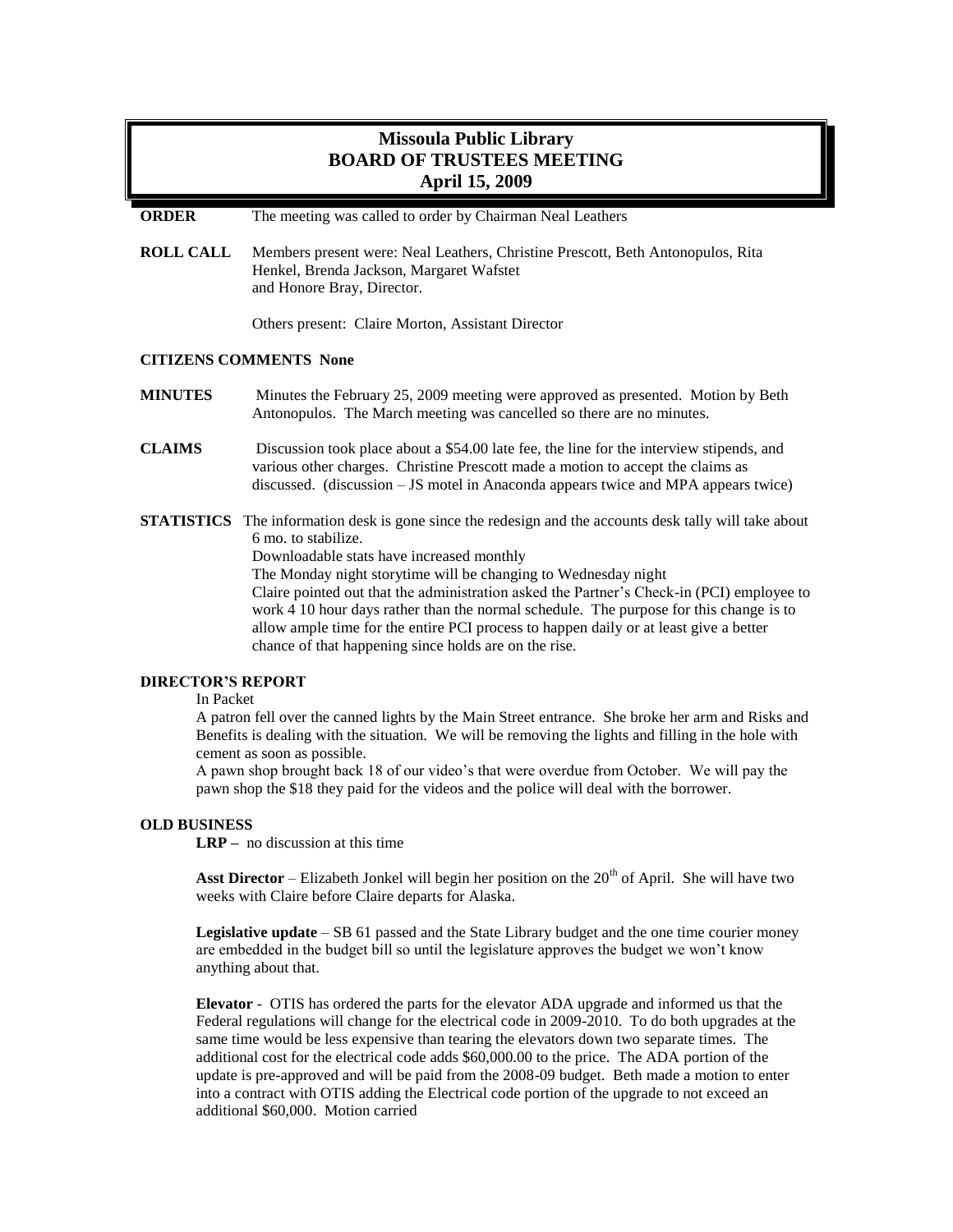# **Missoula Public Library BOARD OF TRUSTEES MEETING April 15, 2009**

**ORDER** The meeting was called to order by Chairman Neal Leathers

**ROLL CALL** Members present were: Neal Leathers, Christine Prescott, Beth Antonopulos, Rita Henkel, Brenda Jackson, Margaret Wafstet and Honore Bray, Director.

Others present: Claire Morton, Assistant Director

## **CITIZENS COMMENTS None**

- **MINUTES** Minutes the February 25, 2009 meeting were approved as presented. Motion by Beth Antonopulos. The March meeting was cancelled so there are no minutes.
- **CLAIMS** Discussion took place about a \$54.00 late fee, the line for the interview stipends, and various other charges. Christine Prescott made a motion to accept the claims as discussed. (discussion – JS motel in Anaconda appears twice and MPA appears twice)
- **STATISTICS** The information desk is gone since the redesign and the accounts desk tally will take about 6 mo. to stabilize.

Downloadable stats have increased monthly

The Monday night storytime will be changing to Wednesday night

Claire pointed out that the administration asked the Partner's Check-in (PCI) employee to work 4 10 hour days rather than the normal schedule. The purpose for this change is to allow ample time for the entire PCI process to happen daily or at least give a better chance of that happening since holds are on the rise.

# **DIRECTOR'S REPORT**

#### In Packet

A patron fell over the canned lights by the Main Street entrance. She broke her arm and Risks and Benefits is dealing with the situation. We will be removing the lights and filling in the hole with cement as soon as possible.

A pawn shop brought back 18 of our video's that were overdue from October. We will pay the pawn shop the \$18 they paid for the videos and the police will deal with the borrower.

#### **OLD BUSINESS**

**LRP –** no discussion at this time

**Asst Director** – Elizabeth Jonkel will begin her position on the 20<sup>th</sup> of April. She will have two weeks with Claire before Claire departs for Alaska.

**Legislative update** – SB 61 passed and the State Library budget and the one time courier money are embedded in the budget bill so until the legislature approves the budget we won't know anything about that.

**Elevator** - OTIS has ordered the parts for the elevator ADA upgrade and informed us that the Federal regulations will change for the electrical code in 2009-2010. To do both upgrades at the same time would be less expensive than tearing the elevators down two separate times. The additional cost for the electrical code adds \$60,000.00 to the price. The ADA portion of the update is pre-approved and will be paid from the 2008-09 budget. Beth made a motion to enter into a contract with OTIS adding the Electrical code portion of the upgrade to not exceed an additional \$60,000. Motion carried